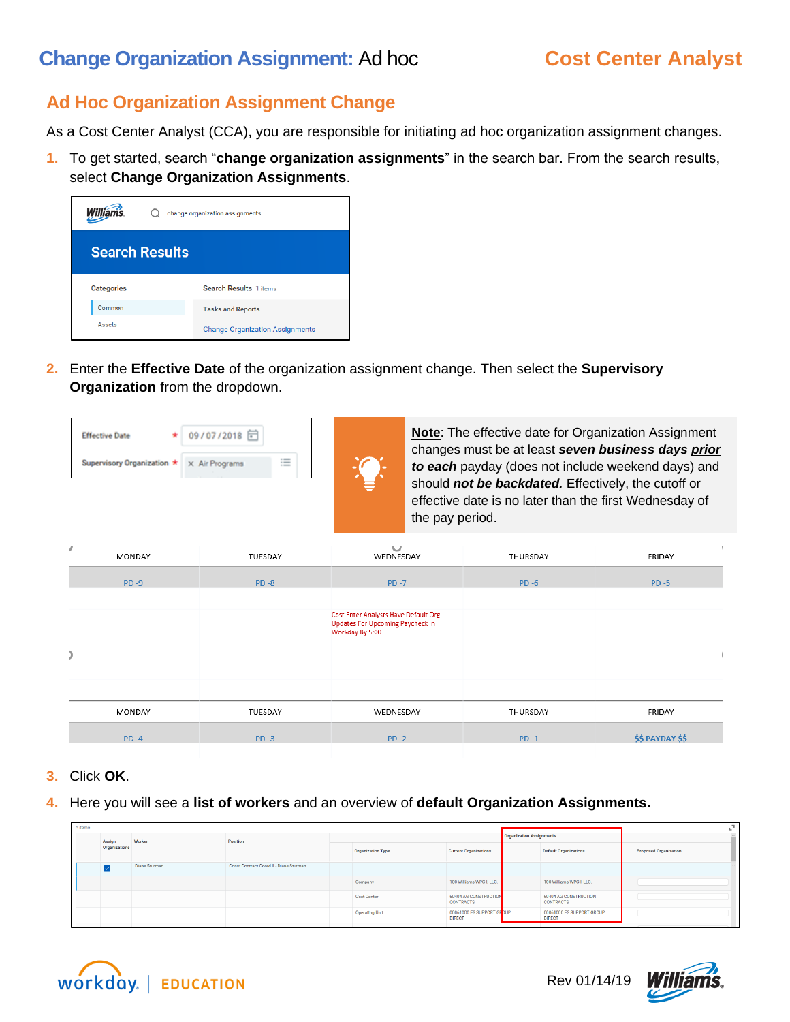## **Change Organization Assignment: Ad hoc <b>Cost Center Analyst**

## **Ad Hoc Organization Assignment Change**

As a Cost Center Analyst (CCA), you are responsible for initiating ad hoc organization assignment changes.

**1.** To get started, search "**change organization assignments**" in the search bar. From the search results, select **Change Organization Assignments**.

| <b>Williams</b>       | change organization assignments |                                        |  |  |  |  |  |
|-----------------------|---------------------------------|----------------------------------------|--|--|--|--|--|
| <b>Search Results</b> |                                 |                                        |  |  |  |  |  |
| <b>Categories</b>     |                                 | <b>Search Results 1 items</b>          |  |  |  |  |  |
| Common                |                                 | <b>Tasks and Reports</b>               |  |  |  |  |  |
| Assets                |                                 | <b>Change Organization Assignments</b> |  |  |  |  |  |

**2.** Enter the **Effective Date** of the organization assignment change. Then select the **Supervisory Organization** from the dropdown.



| r<br>MONDAY | TUESDAY  | $\checkmark$<br>WEDNESDAY                                                                                 | THURSDAY | $\mathbb{R}$<br>FRIDAY  |
|-------------|----------|-----------------------------------------------------------------------------------------------------------|----------|-------------------------|
| $PD - 9$    | $PD - 8$ | $PD -7$                                                                                                   | $PD - 6$ | $PD - 5$                |
|             |          | <b>Cost Enter Analysts Have Default Org</b><br><b>Updates For Upcoming Paycheck In</b><br>Workday By 5:00 |          |                         |
| MONDAY      | TUESDAY  | WEDNESDAY                                                                                                 | THURSDAY | FRIDAY                  |
| $PD -4$     | $PD-3$   | $PD - 2$                                                                                                  | $PD-1$   | <b>\$\$ PAYDAY \$\$</b> |

- **3.** Click **OK**.
- **4.** Here you will see a **list of workers** and an overview of **default Organization Assignments.**

| 5 items | Position<br>Worker<br>Assign<br>Organizations<br><b>Organization Type</b><br>Const Contract Coord II - Diane Sturman<br>Diane Sturman<br>Company |  |  |                              |                       |                                            |                                 |                                                  |  |
|---------|--------------------------------------------------------------------------------------------------------------------------------------------------|--|--|------------------------------|-----------------------|--------------------------------------------|---------------------------------|--------------------------------------------------|--|
|         |                                                                                                                                                  |  |  |                              |                       |                                            | <b>Organization Assignments</b> |                                                  |  |
|         |                                                                                                                                                  |  |  | <b>Current Organizations</b> |                       | <b>Default Organizations</b>               | <b>Proposed Organization</b>    |                                                  |  |
|         |                                                                                                                                                  |  |  |                              |                       |                                            |                                 |                                                  |  |
|         |                                                                                                                                                  |  |  |                              |                       | 100 Williams WPC-I, LLC.                   |                                 | 100 Williams WPC-I, LLC.                         |  |
|         |                                                                                                                                                  |  |  |                              | Cost Center           | 60404 AG CONSTRUCTION<br><b>CONTRACTS</b>  |                                 | <b>60404 AG CONSTRUCTION</b><br><b>CONTRACTS</b> |  |
|         |                                                                                                                                                  |  |  |                              | <b>Operating Unit</b> | 00061000 ES SUPPORT GROUP<br><b>DIRECT</b> |                                 | 00061000 ES SUPPORT GROUP<br><b>DIRECT</b>       |  |
|         |                                                                                                                                                  |  |  |                              |                       |                                            |                                 |                                                  |  |



Rev 01/14/19

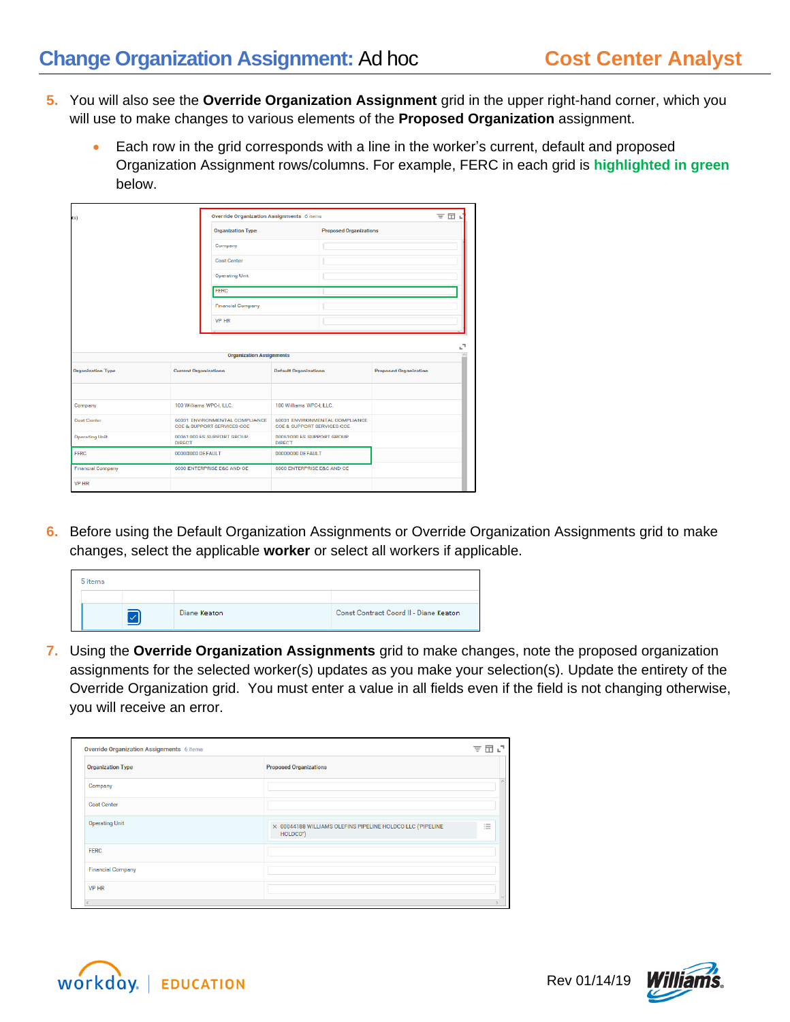- **5.** You will also see the **Override Organization Assignment** grid in the upper right-hand corner, which you will use to make changes to various elements of the **Proposed Organization** assignment.
	- Each row in the grid corresponds with a line in the worker's current, default and proposed Organization Assignment rows/columns. For example, FERC in each grid is **highlighted in green** below.

| ts)                      | Override Organization Assignments 6 items                    |                                 | 団<br>₹                                     |                                |                              |    |
|--------------------------|--------------------------------------------------------------|---------------------------------|--------------------------------------------|--------------------------------|------------------------------|----|
|                          |                                                              | <b>Organization Type</b>        | <b>Proposed Organizations</b>              |                                |                              |    |
|                          |                                                              | Company                         |                                            |                                |                              |    |
|                          |                                                              | <b>Cost Center</b>              |                                            |                                |                              |    |
|                          |                                                              | <b>Operating Unit</b>           | FERC                                       |                                |                              |    |
|                          |                                                              |                                 |                                            |                                |                              |    |
|                          |                                                              | <b>Financial Company</b>        |                                            |                                |                              |    |
|                          |                                                              | <b>VP HR</b>                    |                                            |                                |                              |    |
|                          |                                                              |                                 |                                            |                                |                              |    |
|                          |                                                              | <b>Organization Assignments</b> |                                            |                                |                              | ۰, |
| <b>Organization Type</b> | <b>Current Organizations</b>                                 |                                 | <b>Default Organizations</b>               |                                | <b>Proposed Organization</b> |    |
|                          |                                                              |                                 |                                            |                                |                              |    |
| Company                  | 100 Williams WPC-I, LLC.                                     |                                 | 100 Williams WPC-LLLC.                     |                                |                              |    |
| <b>Cost Center</b>       | 60031 ENVIRONMENTAL COMPLIANCE<br>COE & SUPPORT SERVICES COE |                                 | COE & SUPPORT SERVICES COE                 | 60031 ENVIRONMENTAL COMPLIANCE |                              |    |
| <b>Operating Unit</b>    | 00061000 ES SUPPORT GROUP<br><b>DIRECT</b>                   |                                 | 00061000 ES SUPPORT GROUP<br><b>DIRECT</b> |                                |                              |    |
| FERC                     | 00000000 DEFAULT                                             |                                 | 00000000 DEFAULT                           |                                |                              |    |
| <b>Financial Company</b> |                                                              | 6000 ENTERPRISE E&C AND OE      | 6000 ENTERPRISE E&C AND OE                 |                                |                              |    |
| <b>VP HR</b>             |                                                              |                                 |                                            |                                |                              |    |

**6.** Before using the Default Organization Assignments or Override Organization Assignments grid to make changes, select the applicable **worker** or select all workers if applicable.



**7.** Using the **Override Organization Assignments** grid to make changes, note the proposed organization assignments for the selected worker(s) updates as you make your selection(s). Update the entirety of the Override Organization grid. You must enter a value in all fields even if the field is not changing otherwise, you will receive an error.

| Override Organization Assignments 6 items |                                                                        | ₹                                         |
|-------------------------------------------|------------------------------------------------------------------------|-------------------------------------------|
| <b>Organization Type</b>                  | <b>Proposed Organizations</b>                                          |                                           |
| Company                                   |                                                                        |                                           |
| <b>Cost Center</b>                        |                                                                        |                                           |
| <b>Operating Unit</b>                     | X 00044188 WILLIAMS OLEFINS PIPELINE HOLDCO LLC ('PIPELINE<br>HOLDCO") | $\sim$<br>$\overline{\phantom{a}}$<br>$=$ |
| <b>FERC</b>                               |                                                                        |                                           |
| <b>Financial Company</b>                  |                                                                        |                                           |
| <b>VP HR</b>                              |                                                                        |                                           |
|                                           |                                                                        |                                           |